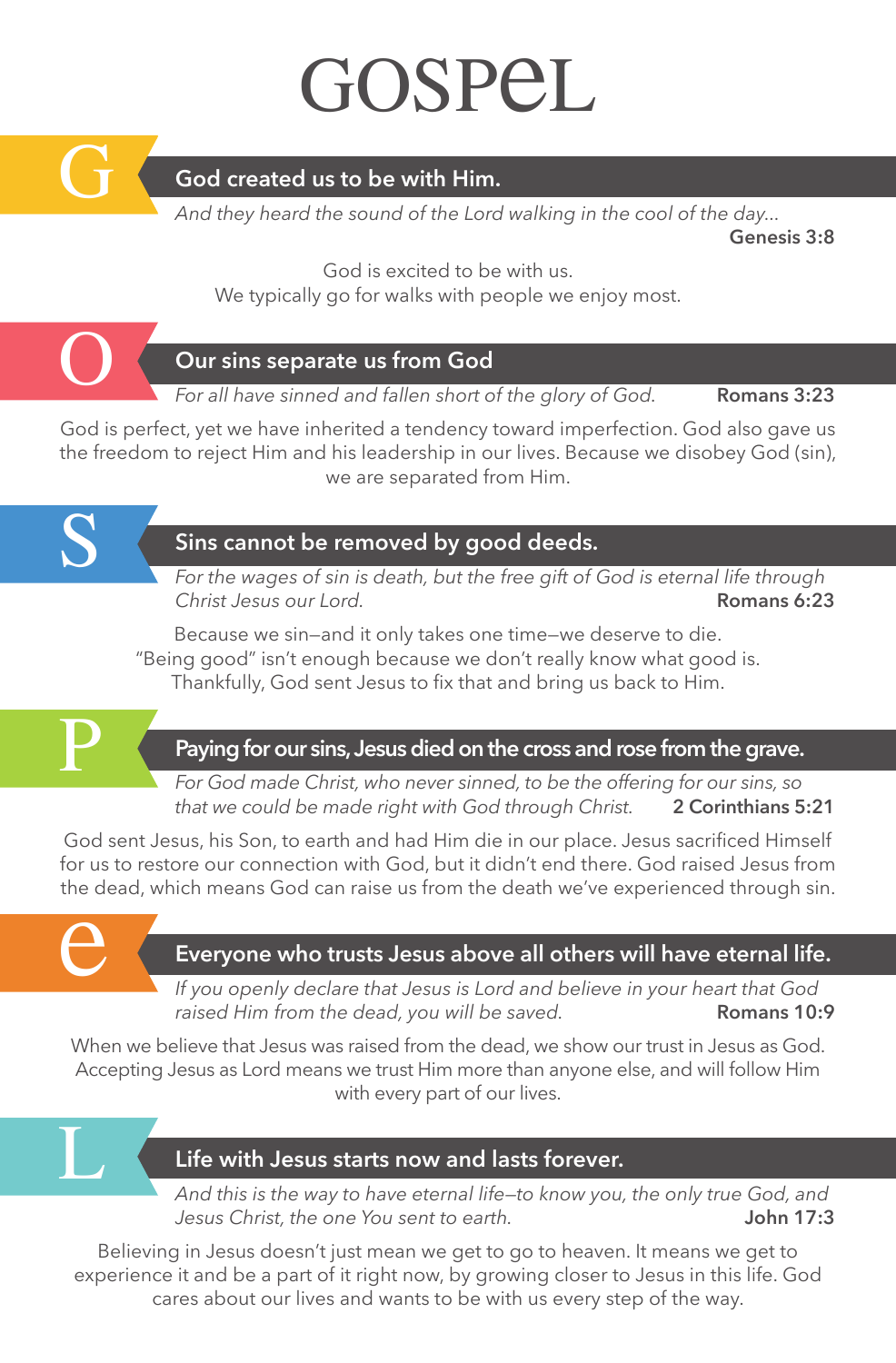## GOSPEL



#### **God created us to be with Him.**

*And they heard the sound of the Lord walking in the cool of the day...*

**Genesis 3:8**

God is excited to be with us. We typically go for walks with people we enjoy most.



#### **Our sins separate us from God**

*For all have sinned and fallen short of the glory of God.* **Romans 3:23**

God is perfect, yet we have inherited a tendency toward imperfection. God also gave us the freedom to reject Him and his leadership in our lives. Because we disobey God (sin), we are separated from Him.



#### **Sins cannot be removed by good deeds.**

*For the wages of sin is death, but the free gift of God is eternal life through Christ Jesus our Lord.* **Romans 6:23**

Because we sin—and it only takes one time—we deserve to die. "Being good" isn't enough because we don't really know what good is. Thankfully, God sent Jesus to fix that and bring us back to Him.



#### **Paying for our sins, Jesus died on the cross and rose from the grave.**

*For God made Christ, who never sinned, to be the offering for our sins, so that we could be made right with God through Christ.* **2 Corinthians 5:21**

God sent Jesus, his Son, to earth and had Him die in our place. Jesus sacrificed Himself for us to restore our connection with God, but it didn't end there. God raised Jesus from the dead, which means God can raise us from the death we've experienced through sin.



L

#### **Everyone who trusts Jesus above all others will have eternal life.**

*If you openly declare that Jesus is Lord and believe in your heart that God raised Him from the dead, you will be saved.* **Romans 10:9** 

When we believe that Jesus was raised from the dead, we show our trust in Jesus as God. Accepting Jesus as Lord means we trust Him more than anyone else, and will follow Him with every part of our lives.

#### **Life with Jesus starts now and lasts forever.**

*And this is the way to have eternal life—to know you, the only true God, and Jesus Christ, the one You sent to earth.* **John 17:3**

Believing in Jesus doesn't just mean we get to go to heaven. It means we get to experience it and be a part of it right now, by growing closer to Jesus in this life. God cares about our lives and wants to be with us every step of the way.